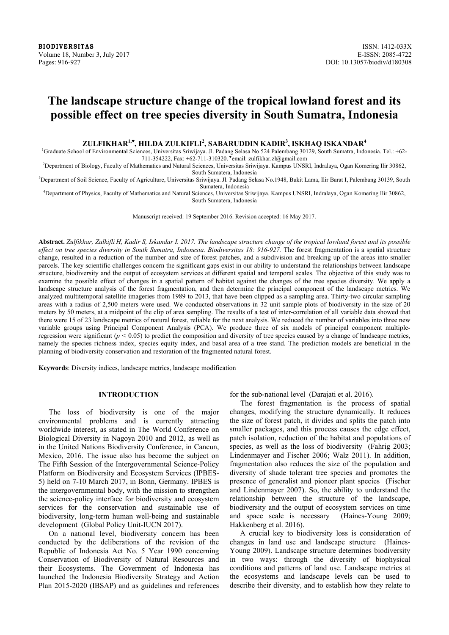**BIODIVERSITAS** ISSN: 1412-033X Volume 18, Number 3, July 2017 E-ISSN: 2085-4722 Pages: 916-927 DOI: 10.13057/biodiv/d180308

# **The landscape structure change of the tropical lowland forest and its possible effect on tree species diversity in South Sumatra, Indonesia**

**ZULFIKHAR1,♥ , HILDA ZULKIFLI2 , SABARUDDIN KADIR<sup>3</sup> , ISKHAQ ISKANDAR<sup>4</sup>**

<sup>1</sup>Graduate School of Environmental Sciences, Universitas Sriwijaya. Jl. Padang Selasa No.524 Palembang 30129, South Sumatra, Indonesia. Tel.: +62-711-354222, Fax: +62-711-310320. ♥email: zulfikhar.zl@gmail.com

2 Department of Biology, Faculty of Mathematics and Natural Sciences, Universitas Sriwijaya. Kampus UNSRI, Indralaya, Ogan Komering Ilir 30862,

South Sumatera, Indonesia<br><sup>3</sup>Department of Soil Science, Faculty of Agriculture, Universitas Sriwijaya. Jl. Padang Selasa No.1948, Bukit Lama, Ilir Barat I, Palembang 30139, South

Sumatera, Indonesia 4 Department of Physics, Faculty of Mathematics and Natural Sciences, Universitas Sriwijaya. Kampus UNSRI, Indralaya, Ogan Komering Ilir 30862, South Sumatera, Indonesia

Manuscript received: 19 September 2016. Revision accepted: 16 May 2017.

**Abstract.** *Zulfikhar, Zulkifli H, Kadir S, Iskandar I. 2017. The landscape structure change of the tropical lowland forest and its possible effect on tree species diversity in South Sumatra, Indonesia. Biodiversitas 18: 916-927.* The forest fragmentation is a spatial structure change, resulted in a reduction of the number and size of forest patches, and a subdivision and breaking up of the areas into smaller parcels. The key scientific challenges concern the significant gaps exist in our ability to understand the relationships between landscape structure, biodiversity and the output of ecosystem services at different spatial and temporal scales. The objective of this study was to examine the possible effect of changes in a spatial pattern of habitat against the changes of the tree species diversity. We apply a landscape structure analysis of the forest fragmentation, and then determine the principal component of the landscape metrics. We analyzed multitemporal satellite imageries from 1989 to 2013, that have been clipped as a sampling area. Thirty-two circular sampling areas with a radius of 2,500 meters were used. We conducted observations in 32 unit sample plots of biodiversity in the size of 20 meters by 50 meters, at a midpoint of the clip of area sampling. The results of a test of inter-correlation of all variable data showed that there were 15 of 23 landscape metrics of natural forest, reliable for the next analysis. We reduced the number of variables into three new variable groups using Principal Component Analysis (PCA). We produce three of six models of principal component multipleregression were significant (*p <* 0.05) to predict the composition and diversity of tree species caused by a change of landscape metrics, namely the species richness index, species equity index, and basal area of a tree stand. The prediction models are beneficial in the planning of biodiversity conservation and restoration of the fragmented natural forest.

**Keywords**: Diversity indices, landscape metrics, landscape modification

# **INTRODUCTION**

The loss of biodiversity is one of the major environmental problems and is currently attracting worldwide interest, as stated in The World Conference on Biological Diversity in Nagoya 2010 and 2012, as well as in the United Nations Biodiversity Conference, in Cancun, Mexico, 2016. The issue also has become the subject on The Fifth Session of the Intergovernmental Science-Policy Platform on Biodiversity and Ecosystem Services (IPBES-5) held on 7-10 March 2017, in Bonn, Germany. IPBES is the intergovernmental body, with the mission to strengthen the science-policy interface for biodiversity and ecosystem services for the conservation and sustainable use of biodiversity, long-term human well-being and sustainable development (Global Policy Unit-IUCN 2017).

On a national level, biodiversity concern has been conducted by the deliberations of the revision of the Republic of Indonesia Act No. 5 Year 1990 concerning Conservation of Biodiversity of Natural Resources and their Ecosystems. The Government of Indonesia has launched the Indonesia Biodiversity Strategy and Action Plan 2015-2020 (IBSAP) and as guidelines and references for the sub-national level (Darajati et al. 2016).

The forest fragmentation is the process of spatial changes, modifying the structure dynamically. It reduces the size of forest patch, it divides and splits the patch into smaller packages, and this process causes the edge effect, patch isolation, reduction of the habitat and populations of species, as well as the loss of biodiversity (Fahrig 2003; Lindenmayer and Fischer 2006; Walz 2011). In addition, fragmentation also reduces the size of the population and diversity of shade tolerant tree species and promotes the presence of generalist and pioneer plant species (Fischer and Lindenmayer 2007). So, the ability to understand the relationship between the structure of the landscape, biodiversity and the output of ecosystem services on time and space scale is necessary (Haines-Young 2009; Hakkenberg et al. 2016).

A crucial key to biodiversity loss is consideration of changes in land use and landscape structure (Haines-Young 2009). Landscape structure determines biodiversity in two ways: through the diversity of biophysical conditions and patterns of land use. Landscape metrics at the ecosystems and landscape levels can be used to describe their diversity, and to establish how they relate to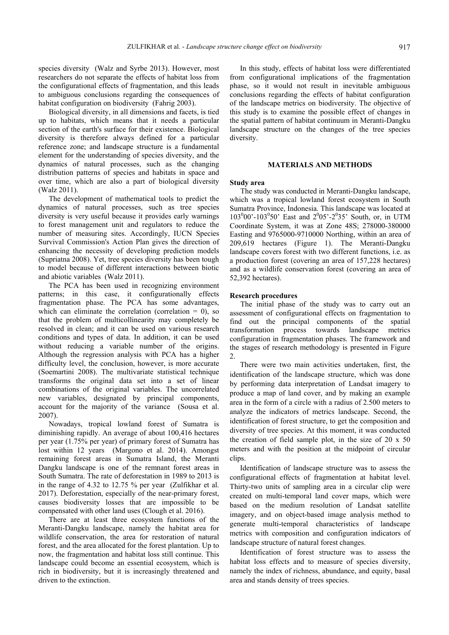species diversity (Walz and Syrbe 2013). However, most researchers do not separate the effects of habitat loss from the configurational effects of fragmentation, and this leads to ambiguous conclusions regarding the consequences of habitat configuration on biodiversity (Fahrig 2003).

Biological diversity, in all dimensions and facets, is tied up to habitats, which means that it needs a particular section of the earth's surface for their existence. Biological diversity is therefore always defined for a particular reference zone; and landscape structure is a fundamental element for the understanding of species diversity, and the dynamics of natural processes, such as the changing distribution patterns of species and habitats in space and over time, which are also a part of biological diversity (Walz 2011).

The development of mathematical tools to predict the dynamics of natural processes, such as tree species diversity is very useful because it provides early warnings to forest management unit and regulators to reduce the number of measuring sites. Accordingly, IUCN Species Survival Commission's Action Plan gives the direction of enhancing the necessity of developing prediction models (Supriatna 2008). Yet, tree species diversity has been tough to model because of different interactions between biotic and abiotic variables (Walz 2011).

The PCA has been used in recognizing environment patterns; in this case, it configurationally effects fragmentation phase. The PCA has some advantages, which can eliminate the correlation (correlation  $= 0$ ), so that the problem of multicollinearity may completely be resolved in clean; and it can be used on various research conditions and types of data. In addition, it can be used without reducing a variable number of the origins. Although the regression analysis with PCA has a higher difficulty level, the conclusion, however, is more accurate (Soemartini 2008). The multivariate statistical technique transforms the original data set into a set of linear combinations of the original variables. The uncorrelated new variables, designated by principal components, account for the majority of the variance (Sousa et al. 2007).

Nowadays, tropical lowland forest of Sumatra is diminishing rapidly. An average of about 100,416 hectares per year (1.75% per year) of primary forest of Sumatra has lost within 12 years (Margono et al. 2014). Amongst remaining forest areas in Sumatra Island, the Meranti Dangku landscape is one of the remnant forest areas in South Sumatra. The rate of deforestation in 1989 to 2013 is in the range of 4.32 to 12.75 % per year (Zulfikhar et al. 2017). Deforestation, especially of the near-primary forest, causes biodiversity losses that are impossible to be compensated with other land uses (Clough et al. 2016).

There are at least three ecosystem functions of the Meranti-Dangku landscape, namely the habitat area for wildlife conservation, the area for restoration of natural forest, and the area allocated for the forest plantation. Up to now, the fragmentation and habitat loss still continue. This landscape could become an essential ecosystem, which is rich in biodiversity, but it is increasingly threatened and driven to the extinction.

In this study, effects of habitat loss were differentiated from configurational implications of the fragmentation phase, so it would not result in inevitable ambiguous conclusions regarding the effects of habitat configuration of the landscape metrics on biodiversity. The objective of this study is to examine the possible effect of changes in the spatial pattern of habitat continuum in Meranti-Dangku landscape structure on the changes of the tree species diversity.

## **MATERIALS AND METHODS**

#### **Study area**

The study was conducted in Meranti-Dangku landscape, which was a tropical lowland forest ecosystem in South Sumatra Province, Indonesia. This landscape was located at 103<sup>0</sup>00'-103<sup>0</sup>50' East and 2<sup>0</sup>05'-2<sup>0</sup>35' South, or, in UTM Coordinate System, it was at Zone 48S; 278000-380000 Easting and 9765000-9710000 Northing, within an area of 209,619 hectares (Figure 1). The Meranti-Dangku landscape covers forest with two different functions, i.e. as a production forest (covering an area of 157,228 hectares) and as a wildlife conservation forest (covering an area of 52,392 hectares).

#### **Research procedures**

The initial phase of the study was to carry out an assessment of configurational effects on fragmentation to find out the principal components of the spatial transformation process towards landscape metrics configuration in fragmentation phases. The framework and the stages of research methodology is presented in Figure  $\mathcal{L}$ 

There were two main activities undertaken, first, the identification of the landscape structure, which was done by performing data interpretation of Landsat imagery to produce a map of land cover, and by making an example area in the form of a circle with a radius of 2.500 meters to analyze the indicators of metrics landscape. Second, the identification of forest structure, to get the composition and diversity of tree species. At this moment, it was conducted the creation of field sample plot, in the size of 20 x 50 meters and with the position at the midpoint of circular clips.

Identification of landscape structure was to assess the configurational effects of fragmentation at habitat level. Thirty-two units of sampling area in a circular clip were created on multi-temporal land cover maps, which were based on the medium resolution of Landsat satellite imagery, and on object-based image analysis method to generate multi-temporal characteristics of landscape metrics with composition and configuration indicators of landscape structure of natural forest changes.

Identification of forest structure was to assess the habitat loss effects and to measure of species diversity, namely the index of richness, abundance, and equity, basal area and stands density of trees species.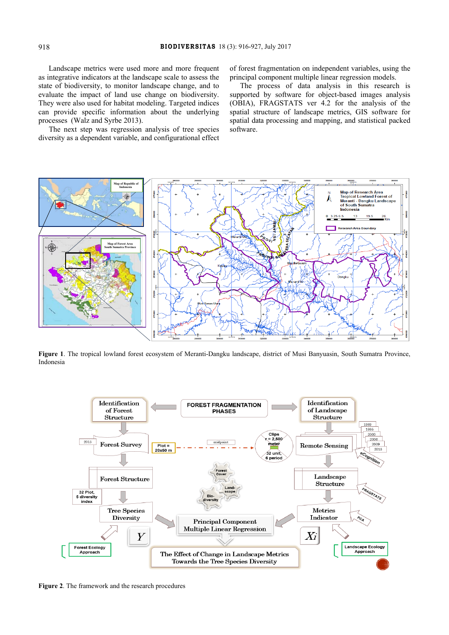Landscape metrics were used more and more frequent as integrative indicators at the landscape scale to assess the state of biodiversity, to monitor landscape change, and to evaluate the impact of land use change on biodiversity. They were also used for habitat modeling. Targeted indices can provide specific information about the underlying processes (Walz and Syrbe 2013).

The next step was regression analysis of tree species diversity as a dependent variable, and configurational effect of forest fragmentation on independent variables, using the principal component multiple linear regression models.

The process of data analysis in this research is supported by software for object-based images analysis (OBIA), FRAGSTATS ver 4.2 for the analysis of the spatial structure of landscape metrics, GIS software for spatial data processing and mapping, and statistical packed software.



**Figure 1**. The tropical lowland forest ecosystem of Meranti-Dangku landscape, district of Musi Banyuasin, South Sumatra Province, Indonesia



**Figure 2**. The framework and the research procedures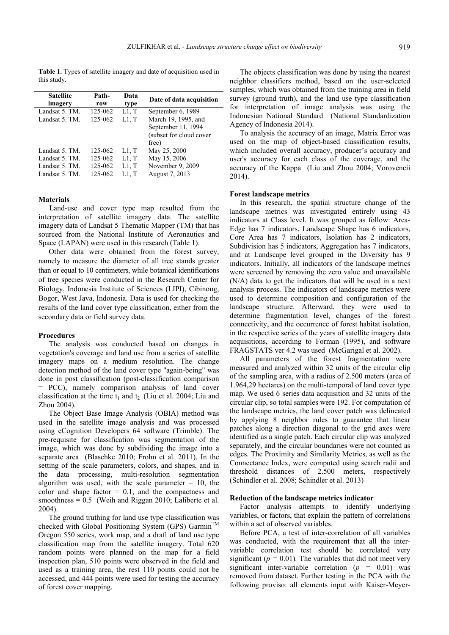**Table 1.** Types of satellite imagery and date of acquisition used in this study.

| <b>Satellite</b><br>imagery | Path-<br>row | Data<br>type | Date of data acquisition |
|-----------------------------|--------------|--------------|--------------------------|
| Landsat 5. TM.              | 125-062      | L1, T        | September 6, 1989        |
| Landsat 5. TM.              | 125-062      | L1, T        | March 19, 1995, and      |
|                             |              |              | September 11, 1994       |
|                             |              |              | (subset for cloud cover  |
|                             |              |              | free)                    |
| Landsat 5. TM.              | 125-062      | L1, T        | May 25, 2000             |
| Landsat 5. TM.              | 125-062      | L1, T        | May 15, 2006             |
| Landsat 5. TM.              | 125-062      | L1, T        | November 9, 2009         |
| Landsat 5. TM.              | 125-062      | L1, T        | August 7, 2013           |

## **Materials**

Land-use and cover type map resulted from the interpretation of satellite imagery data. The satellite imagery data of Landsat 5 Thematic Mapper (TM) that has sourced from the National Institute of Aeronautics and Space (LAPAN) were used in this research (Table 1).

Other data were obtained from the forest survey, namely to measure the diameter of all tree stands greater than or equal to 10 centimeters, while botanical identifications of tree species were conducted in the Research Center for Biology, Indonesia Institute of Sciences (LIPI), Cibinong, Bogor, West Java, Indonesia. Data is used for checking the results of the land cover type classification, either from the secondary data or field survey data.

### **Procedures**

The analysis was conducted based on changes in vegetation's coverage and land use from a series of satellite imagery maps on a medium resolution. The change detection method of the land cover type "again-being" was done in post classification (post-classification comparison = PCC), namely comparison analysis of land cover classification at the time  $t_1$  and  $t_2$  (Liu et al. 2004; Liu and Zhou 2004).

The Object Base Image Analysis (OBIA) method was used in the satellite image analysis and was processed using eCognition Developers 64 software (Trimble). The pre-requisite for classification was segmentation of the image, which was done by subdividing the image into a separate area (Blaschke 2010; Frohn et al. 2011). In the setting of the scale parameters, colors, and shapes, and in the data processing, multi-resolution segmentation algorithm was used, with the scale parameter  $= 10$ , the color and shape factor  $= 0.1$ , and the compactness and smoothness =  $0.5$  (Weih and Riggan 2010; Laliberte et al. 2004).

The ground truthing for land use type classification was checked with Global Positioning System (GPS) Garmin<sup>™</sup> Oregon 550 series, work map, and a draft of land use type classification map from the satellite imagery. Total 620 random points were planned on the map for a field inspection plan, 510 points were observed in the field and used as a training area, the rest 110 points could not be accessed, and 444 points were used for testing the accuracy of forest cover mapping.

The objects classification was done by using the nearest neighbor classifiers method, based on the user-selected samples, which was obtained from the training area in field survey (ground truth), and the land use type classification for interpretation of image analysis was using the Indonesian National Standard (National Standardization Agency of Indonesia 2014).

To analysis the accuracy of an image, Matrix Error was used on the map of object-based classification results, which included overall accuracy, producer's accuracy and user's accuracy for each class of the coverage, and the accuracy of the Kappa (Liu and Zhou 2004; Vorovencii 2014).

## **Forest landscape metrics**

In this research, the spatial structure change of the landscape metrics was investigated entirely using 43 indicators at Class level. It was grouped as follow: Area-Edge has 7 indicators, Landscape Shape has 6 indicators, Core Area has 7 indicators, Isolation has 2 indicators. Subdivision has 5 indicators, Aggregation has 7 indicators, and at Landscape level grouped in the Diversity has 9 indicators. Initially, all indicators of the landscape metrics were screened by removing the zero value and unavailable (N/A) data to get the indicators that will be used in a next analysis process. The indicators of landscape metrics were used to determine composition and configuration of the landscape structure. Afterward, they were used to determine fragmentation level, changes of the forest connectivity, and the occurrence of forest habitat isolation, in the respective series of the years of satellite imagery data acquisitions, according to Forman (1995), and software FRAGSTATS ver 4.2 was used (McGarigal et al. 2002).

All parameters of the forest fragmentation were measured and analyzed within 32 units of the circular clip of the sampling area, with a radius of 2.500 meters (area of 1.964,29 hectares) on the multi-temporal of land cover type map. We used 6 series data acquisition and 32 units of the circular clip, so total samples were 192. For computation of the landscape metrics, the land cover patch was delineated by applying 8 neighbor rules to guarantee that linear patches along a direction diagonal to the grid axes were identified as a single patch. Each circular clip was analyzed separately, and the circular boundaries were not counted as edges. The Proximity and Similarity Metrics, as well as the Connectance Index, were computed using search radii and threshold distances of 2.500 meters, respectively (Schindler et al. 2008; Schindler et al. 2013)

#### **Reduction of the landscape metrics indicator**

Factor analysis attempts to identify underlying variables, or factors, that explain the pattern of correlations within a set of observed variables.

Before PCA, a test of inter-correlation of all variables was conducted, with the requirement that all the intervariable correlation test should be correlated very significant ( $p = 0.01$ ). The variables that did not meet very significant inter-variable correlation (*p =* 0.01) was removed from dataset. Further testing in the PCA with the following proviso: all elements input with Kaiser-Meyer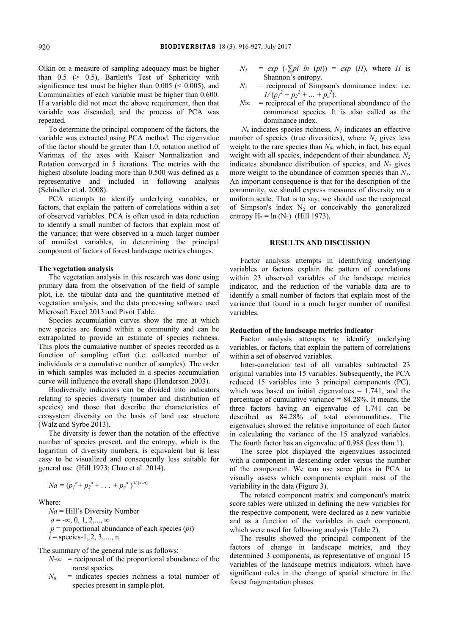Olkin on a measure of sampling adequacy must be higher than 0.5 (> 0.5), Bartlett's Test of Sphericity with significance test must be higher than  $0.005 \leq 0.005$ ), and Communalities of each variable must be higher than 0.600. If a variable did not meet the above requirement, then that variable was discarded, and the process of PCA was repeated.

To determine the principal component of the factors, the variable was extracted using PCA method. The eigenvalue of the factor should be greater than 1.0, rotation method of Varimax of the axes with Kaiser Normalization and Rotation converged in 5 iterations. The metrics with the highest absolute loading more than 0.500 was defined as a representative and included in following analysis (Schindler et al. 2008).

PCA attempts to identify underlying variables, or factors, that explain the pattern of correlations within a set of observed variables. PCA is often used in data reduction to identify a small number of factors that explain most of the variance; that were observed in a much larger number of manifest variables, in determining the principal component of factors of forest landscape metrics changes.

### **The vegetation analysis**

The vegetation analysis in this research was done using primary data from the observation of the field of sample plot, i.e. the tabular data and the quantitative method of vegetation analysis, and the data processing software used Microsoft Excel 2013 and Pivot Table.

Species accumulation curves show the rate at which new species are found within a community and can be extrapolated to provide an estimate of species richness. This plots the cumulative number of species recorded as a function of sampling effort (i.e. collected number of individuals or a cumulative number of samples). The order in which samples was included in a species accumulation curve will influence the overall shape (Henderson 2003).

Biodiversity indicators can be divided into indicators relating to species diversity (number and distribution of species) and those that describe the characteristics of ecosystem diversity on the basis of land use structure (Walz and Syrbe 2013).

The diversity is fewer than the notation of the effective number of species present, and the entropy, which is the logarithm of diversity numbers, is equivalent but is less easy to be visualized and consequently less suitable for general use (Hill 1973; Chao et al. 2014).

$$
Na = (p_1^a + p_2^a + \ldots + p_n^a)^{l/(1-a)}
$$

Where:

*Na* = Hill's Diversity Number  $a = -\infty, 0, 1, 2, \ldots, \infty$  $p =$  proportional abundance of each species  $pi)$  $i = \text{species-1}, 2, 3, \dots, n$ 

The summary of the general rule is as follows:

- $N-\infty$  = reciprocal of the proportional abundance of the rarest species.
- $N_0$  = indicates species richness a total number of species present in sample plot.
- $N_1$  =  $exp(-\sum pi \ ln(pi))$  =  $exp(H)$ , where *H* is Shannon's entropy.
- $N_2$  = reciprocal of Simpson's dominance index: i.e.  $1/(p_1^2 + p_2^2 + ... + p_n^2)$ .
- $N\infty$  = reciprocal of the proportional abundance of the commonest species. It is also called as the dominance index.

 $N_0$  indicates species richness,  $N_1$  indicates an effective number of species (true diversities), where  $N_l$  gives less weight to the rare species than  $N_0$ , which, in fact, has equal weight with all species, independent of their abundance. *N2*  indicates abundance distribution of species, and  $N<sub>2</sub>$  gives more weight to the abundance of common species than *N1*. An important consequence is that for the description of the community, we should express measures of diversity on a uniform scale. That is to say; we should use the reciprocal of Simpson's index  $N_2$  or conceivably the generalized entropy  $H_2 = \ln(N_2)$  (Hill 1973).

# **RESULTS AND DISCUSSION**

Factor analysis attempts in identifying underlying variables or factors explain the pattern of correlations within 23 observed variables of the landscape metrics indicator, and the reduction of the variable data are to identify a small number of factors that explain most of the variance that found in a much larger number of manifest variables.

## **Reduction of the landscape metrics indicator**

Factor analysis attempts to identify underlying variables, or factors, that explain the pattern of correlations within a set of observed variables.

Inter-correlation test of all variables subtracted 23 original variables into 15 variables. Subsequently, the PCA reduced 15 variables into 3 principal components (PC), which was based on initial eigenvalues  $= 1.741$ , and the percentage of cumulative variance  $= 84.28\%$ . It means, the three factors having an eigenvalue of 1.741 can be described as 84.28% of total communalities. The eigenvalues showed the relative importance of each factor in calculating the variance of the 15 analyzed variables. The fourth factor has an eigenvalue of 0.988 (less than 1).

The scree plot displayed the eigenvalues associated with a component in descending order versus the number of the component. We can use scree plots in PCA to visually assess which components explain most of the variability in the data (Figure 3).

The rotated component matrix and component's matrix score tables were utilized in defining the new variables for the respective component, were declared as a new variable and as a function of the variables in each component, which were used for following analysis (Table 2).

The results showed the principal component of the factors of change in landscape metrics, and they determined 3 components, as representative of original 15 variables of the landscape metrics indicators, which have significant roles in the change of spatial structure in the forest fragmentation phases.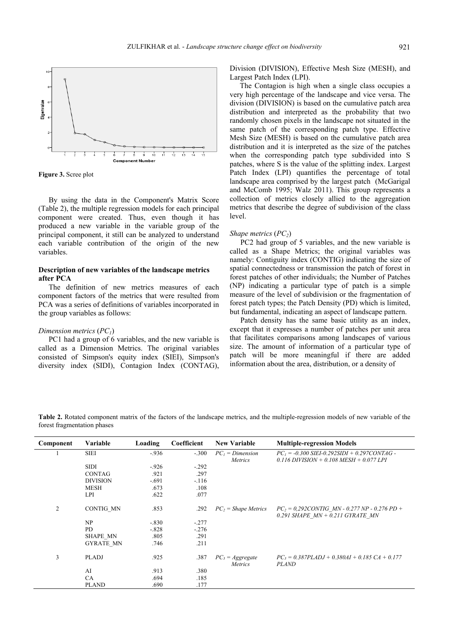

**Figure 3.** Scree plot

By using the data in the Component's Matrix Score (Table 2), the multiple regression models for each principal component were created. Thus, even though it has produced a new variable in the variable group of the principal component, it still can be analyzed to understand each variable contribution of the origin of the new variables.

# **Description of new variables of the landscape metrics after PCA**

The definition of new metrics measures of each component factors of the metrics that were resulted from PCA was a series of definitions of variables incorporated in the group variables as follows:

#### *Dimension metrics* (*PC<sub>1</sub>*)

PC1 had a group of 6 variables, and the new variable is called as a Dimension Metrics. The original variables consisted of Simpson's equity index (SIEI), Simpson's diversity index (SIDI), Contagion Index (CONTAG), Division (DIVISION), Effective Mesh Size (MESH), and Largest Patch Index (LPI).

The Contagion is high when a single class occupies a very high percentage of the landscape and vice versa. The division (DIVISION) is based on the cumulative patch area distribution and interpreted as the probability that two randomly chosen pixels in the landscape not situated in the same patch of the corresponding patch type. Effective Mesh Size (MESH) is based on the cumulative patch area distribution and it is interpreted as the size of the patches when the corresponding patch type subdivided into S patches, where S is the value of the splitting index. Largest Patch Index (LPI) quantifies the percentage of total landscape area comprised by the largest patch (McGarigal and McComb 1995; Walz 2011). This group represents a collection of metrics closely allied to the aggregation metrics that describe the degree of subdivision of the class level.

#### *Shape metrics (PC<sub>2</sub>)*

PC2 had group of 5 variables, and the new variable is called as a Shape Metrics; the original variables was namely: Contiguity index (CONTIG) indicating the size of spatial connectedness or transmission the patch of forest in forest patches of other individuals; the Number of Patches (NP) indicating a particular type of patch is a simple measure of the level of subdivision or the fragmentation of forest patch types; the Patch Density (PD) which is limited, but fundamental, indicating an aspect of landscape pattern.

Patch density has the same basic utility as an index, except that it expresses a number of patches per unit area that facilitates comparisons among landscapes of various size. The amount of information of a particular type of patch will be more meaningful if there are added information about the area, distribution, or a density of

**Table 2.** Rotated component matrix of the factors of the landscape metrics, and the multiple-regression models of new variable of the forest fragmentation phases

| Component      | Variable         | Loading | Coefficient | <b>New Variable</b>                  | <b>Multiple-regression Models</b>                                                               |
|----------------|------------------|---------|-------------|--------------------------------------|-------------------------------------------------------------------------------------------------|
|                | <b>SIEI</b>      | $-936$  | $-.300$     | $PC_1 = Dimension$<br><i>Metrics</i> | $PC_1 = -0.300$ SIEI-0.292SIDI + 0.297CONTAG -<br>$0.116$ DIVISION + $0.108$ MESH + $0.077$ LPI |
|                | <b>SIDI</b>      | $-926$  | $-.292$     |                                      |                                                                                                 |
|                | <b>CONTAG</b>    | .921    | .297        |                                      |                                                                                                 |
|                | <b>DIVISION</b>  | $-.691$ | $-.116$     |                                      |                                                                                                 |
|                | <b>MESH</b>      | .673    | .108        |                                      |                                                                                                 |
|                | <b>LPI</b>       | .622    | .077        |                                      |                                                                                                 |
| $\overline{2}$ | <b>CONTIG MN</b> | .853    | .292        | $PC_2$ = Shape Metrics               | $PC_2 = 0,292$ CONTIG MN - 0.277 NP - 0.276 PD +<br>$0.291$ SHAPE $MN + 0.211$ GYRATE $MN$      |
|                | NP               | $-.830$ | $-.277$     |                                      |                                                                                                 |
|                | <b>PD</b>        | $-.828$ | $-.276$     |                                      |                                                                                                 |
|                | <b>SHAPE MN</b>  | .805    | .291        |                                      |                                                                                                 |
|                | <b>GYRATE MN</b> | .746    | .211        |                                      |                                                                                                 |
| 3              | <b>PLADJ</b>     | .925    | .387        | $PC_3 = Aggregate$<br>Metrics        | $PC_3 = 0.387PLADJ + 0.380AI + 0.185 CA + 0.177$<br><b>PLAND</b>                                |
|                | AI               | .913    | .380        |                                      |                                                                                                 |
|                | <b>CA</b>        | .694    | .185        |                                      |                                                                                                 |
|                | <b>PLAND</b>     | .690    | .177        |                                      |                                                                                                 |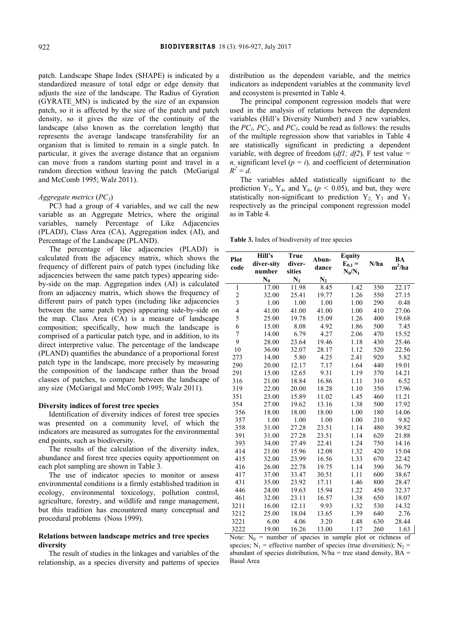patch. Landscape Shape Index (SHAPE) is indicated by a standardized measure of total edge or edge density that adjusts the size of the landscape. The Radius of Gyration (GYRATE\_MN) is indicated by the size of an expansion patch, so it is affected by the size of the patch and patch density, so it gives the size of the continuity of the landscape (also known as the correlation length) that represents the average landscape transferability for an organism that is limited to remain in a single patch. In particular, it gives the average distance that an organism can move from a random starting point and travel in a random direction without leaving the patch (McGarigal and McComb 1995; Walz 2011).

# *Aggregate metrics* (*PC3*)

PC3 had a group of 4 variables, and we call the new variable as an Aggregate Metrics, where the original variables, namely Percentage of Like Adjacencies (PLADJ), Class Area (CA), Aggregation index (AI), and Percentage of the Landscape (PLAND).

The percentage of like adjacencies (PLADJ) is calculated from the adjacency matrix, which shows the frequency of different pairs of patch types (including like adjacencies between the same patch types) appearing sideby-side on the map. Aggregation index (AI) is calculated from an adjacency matrix, which shows the frequency of different pairs of patch types (including like adjacencies between the same patch types) appearing side-by-side on the map. Class Area (CA) is a measure of landscape composition; specifically, how much the landscape is comprised of a particular patch type, and in addition, to its direct interpretive value. The percentage of the landscape (PLAND) quantifies the abundance of a proportional forest patch type in the landscape, more precisely by measuring the composition of the landscape rather than the broad classes of patches, to compare between the landscape of any size (McGarigal and McComb 1995; Walz 2011).

#### **Diversity indices of forest tree species**

Identification of diversity indices of forest tree species was presented on a community level, of which the indicators are measured as surrogates for the environmental end points, such as biodiversity.

The results of the calculation of the diversity index, abundance and forest tree species equity apportionment on each plot sampling are shown in Table 3.

The use of indicator species to monitor or assess environmental conditions is a firmly established tradition in ecology, environmental toxicology, pollution control, agriculture, forestry, and wildlife and range management, but this tradition has encountered many conceptual and procedural problems (Noss 1999).

### **Relations between landscape metrics and tree species diversity**

The result of studies in the linkages and variables of the relationship, as a species diversity and patterns of species

distribution as the dependent variable, and the metrics indicators as independent variables at the community level and ecosystem is presented in Table 4.

The principal component regression models that were used in the analysis of relations between the dependent variables (Hill's Diversity Number) and 3 new variables, the  $PC_1$ ,  $PC_2$ , and  $PC_3$ , could be read as follows: the results of the multiple regression show that variables in Table 4 are statistically significant in predicting a dependent variable, with degree of freedom (*df1; df2*)*,* F test value *= n*, significant level ( $p = i$ ), and coefficient of determination  $R^2 = d$ .

The variables added statistically significant to the prediction  $Y_1$ ,  $Y_4$ , and  $Y_6$ ,  $(p < 0.05)$ , and but, they were statistically non-significant to prediction  $Y_2$ ,  $Y_3$  and  $Y_5$ respectively as the principal component regression model as in Table 4.

**Table 3.** Index of biodiversity of tree species

| Plot                    | Hill's         | <b>True</b> | Abun-          | <b>Equity</b> |      | BA       |  |
|-------------------------|----------------|-------------|----------------|---------------|------|----------|--|
| code                    | diver-sity     | diver-      | dance          | $E_{0,1} =$   | N/ha | $m^2/ha$ |  |
|                         | number         | sities      |                | $N_0/N_1$     |      |          |  |
|                         | $\mathbf{N}_0$ | $N_1$       | $\mathbf{N}_2$ |               |      |          |  |
| 1                       | 17.00          | 11.98       | 8.45           | 1.42          | 350  | 22.17    |  |
| $\overline{\mathbf{c}}$ | 32.00          | 25.41       | 19.77          | 1.26          | 550  | 27.15    |  |
| 3                       | 1.00           | 1.00        | 1.00           | 1.00          | 290  | 0.48     |  |
| $\overline{\mathbf{4}}$ | 41.00          | 41.00       | 41.00          | 1.00          | 410  | 27.06    |  |
| 5                       | 25.00          | 19.78       | 15.09          | 1.26          | 400  | 19.68    |  |
| 6                       | 15.00          | 8.08        | 4.92           | 1.86          | 500  | 7.45     |  |
| 7                       | 14.00          | 6.79        | 4.27           | 2.06          | 470  | 15.52    |  |
| 9                       | 28.00          | 23.64       | 19.46          | 1.18          | 430  | 25.46    |  |
| 10                      | 36.00          | 32.07       | 28.17          | 1.12          | 520  | 22.56    |  |
| 273                     | 14.00          | 5.80        | 4.25           | 2.41          | 920  | 5.82     |  |
| 290                     | 20.00          | 12.17       | 7.17           | 1.64          | 440  | 19.01    |  |
| 291                     | 15.00          | 12.65       | 9.31           | 1.19          | 370  | 14.21    |  |
| 316                     | 21.00          | 18.84       | 16.86          | 1.11          | 310  | 6.52     |  |
| 319                     | 22.00          | 20.00       | 18.28          | 1.10          | 350  | 17.96    |  |
| 351                     | 23.00          | 15.89       | 11.02          | 1.45          | 460  | 11.21    |  |
| 354                     | 27.00          | 19.62       | 13.16          | 1.38          | 500  | 17.92    |  |
| 356                     | 18.00          | 18.00       | 18.00          | 1.00          | 180  | 14.06    |  |
| 357                     | 1.00           | 1.00        | 1.00           | 1.00          | 210  | 9.82     |  |
| 358                     | 31.00          | 27.28       | 23.51          | 1.14          | 480  | 39.82    |  |
| 391                     | 31.00          | 27.28       | 23.51          | 1.14          | 620  | 21.88    |  |
| 393                     | 34.00          | 27.49       | 22.41          | 1.24          | 750  | 14.16    |  |
| 414                     | 21.00          | 15.96       | 12.08          | 1.32          | 420  | 15.04    |  |
| 415                     | 32.00          | 23.99       | 16.56          | 1.33          | 670  | 22.42    |  |
| 416                     | 26.00          | 22.78       | 19.75          | 1.14          | 390  | 36.79    |  |
| 417                     | 37.00          | 33.47       | 30.51          | 1.11          | 600  | 38.67    |  |
| 431                     | 35.00          | 23.92       | 17.11          | 1.46          | 800  | 28.47    |  |
| 446                     | 24.00          | 19.63       | 15.94          | 1.22          | 450  | 32.37    |  |
| 461                     | 32.00          | 23.11       | 16.57          | 1.38          | 650  | 18.07    |  |
| 3211                    | 16.00          | 12.11       | 9.93           | 1.32          | 530  | 14.32    |  |
| 3212                    | 25.00          | 18.04       | 13.65          | 1.39          | 640  | 2.76     |  |
| 3221                    | 6.00           | 4.06        | 3.20           | 1.48          | 630  | 28.44    |  |
| 3222                    | 19.00          | 16.26       | 13.00          | 1.17          | 260  | 1.63     |  |

Note:  $N_0$  = number of species in sample plot or richness of species;  $N_1$  = effective number of species (true diversities);  $N_2$  = abundant of species distribution,  $N/ha$  = tree stand density,  $BA$  = Basal Area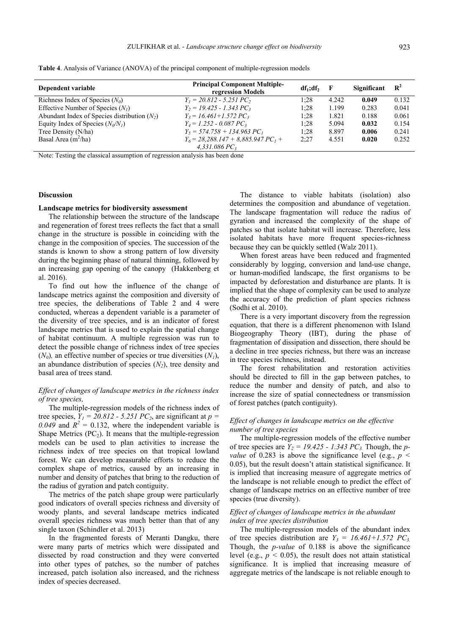| Dependent variable                             | <b>Principal Component Multiple-</b><br>regression Models | $df_1: df_2$ | F     | Significant | $\mathbf{R}^2$ |
|------------------------------------------------|-----------------------------------------------------------|--------------|-------|-------------|----------------|
| Richness Index of Species $(N_0)$              | $Y_1 = 20.812 - 5.251$ PC,                                | 1:28         | 4.242 | 0.049       | 0.132          |
| Effective Number of Species $(N1)$             | $Y_2 = 19.425 - 1.343 PC_3$                               | 1:28         | 1.199 | 0.283       | 0.041          |
| Abundant Index of Species distribution $(N_2)$ | $Y_3 = 16.461 + 1.572$ PC <sub>3</sub>                    | 1:28         | 1.821 | 0.188       | 0.061          |
| Equity Index of Species $(N_0/N_1)$            | $Y_4 = 1.252 - 0.087 PC_3$                                | 1:28         | 5.094 | 0.032       | 0.154          |
| Tree Density (N/ha)                            | $Y_5 = 574.758 + 134.963 PC_1$                            | 1:28         | 8.897 | 0.006       | 0.241          |
| Basal Area $(m^2/ha)$                          | $Y_6 = 28,288,147 + 8,885,947$ $PC_1 +$                   | 2:27         | 4.551 | 0.020       | 0.252          |
|                                                | $4,331.086PC_3$                                           |              |       |             |                |

Note: Testing the classical assumption of regression analysis has been done

#### **Discussion**

#### **Landscape metrics for biodiversity assessment**

The relationship between the structure of the landscape and regeneration of forest trees reflects the fact that a small change in the structure is possible in coinciding with the change in the composition of species. The succession of the stands is known to show a strong pattern of low diversity during the beginning phase of natural thinning, followed by an increasing gap opening of the canopy (Hakkenberg et al. 2016).

To find out how the influence of the change of landscape metrics against the composition and diversity of tree species, the deliberations of Table 2 and 4 were conducted, whereas a dependent variable is a parameter of the diversity of tree species, and is an indicator of forest landscape metrics that is used to explain the spatial change of habitat continuum. A multiple regression was run to detect the possible change of richness index of tree species  $(N_0)$ , an effective number of species or true diversities  $(N_1)$ , an abundance distribution of species  $(N_2)$ , tree density and basal area of trees stand.

# *Effect of changes of landscape metrics in the richness index of tree species,*

The multiple-regression models of the richness index of tree species,  $Y_1 = 20.812 - 5.251 PC_2$ , are significant at  $p =$ 0.049 and  $R^2 = 0.132$ , where the independent variable is Shape Metrics  $(PC_2)$ . It means that the multiple-regression models can be used to plan activities to increase the richness index of tree species on that tropical lowland forest. We can develop measurable efforts to reduce the complex shape of metrics, caused by an increasing in number and density of patches that bring to the reduction of the radius of gyration and patch contiguity.

The metrics of the patch shape group were particularly good indicators of overall species richness and diversity of woody plants, and several landscape metrics indicated overall species richness was much better than that of any single taxon (Schindler et al. 2013)

In the fragmented forests of Meranti Dangku, there were many parts of metrics which were dissipated and dissected by road construction and they were converted into other types of patches, so the number of patches increased, patch isolation also increased, and the richness index of species decreased.

The distance to viable habitats (isolation) also determines the composition and abundance of vegetation. The landscape fragmentation will reduce the radius of gyration and increased the complexity of the shape of patches so that isolate habitat will increase. Therefore, less isolated habitats have more frequent species-richness because they can be quickly settled (Walz 2011).

When forest areas have been reduced and fragmented considerably by logging, conversion and land-use change, or human-modified landscape, the first organisms to be impacted by deforestation and disturbance are plants. It is implied that the shape of complexity can be used to analyze the accuracy of the prediction of plant species richness (Sodhi et al. 2010).

There is a very important discovery from the regression equation, that there is a different phenomenon with Island Biogeography Theory (IBT), during the phase of fragmentation of dissipation and dissection, there should be a decline in tree species richness, but there was an increase in tree species richness, instead.

The forest rehabilitation and restoration activities should be directed to fill in the gap between patches, to reduce the number and density of patch, and also to increase the size of spatial connectedness or transmission of forest patches (patch contiguity).

# *Effect of changes in landscape metrics on the effective number of tree species*

The multiple-regression models of the effective number of tree species are  $Y_2 = 19.425 - 1.343 PC_3$ . Though, the *pvalue* of 0.283 is above the significance level (e.g.,  $p \leq$ 0.05), but the result doesn't attain statistical significance. It is implied that increasing measure of aggregate metrics of the landscape is not reliable enough to predict the effect of change of landscape metrics on an effective number of tree species (true diversity).

# *Effect of changes of landscape metrics in the abundant index of tree species distribution*

The multiple-regression models of the abundant index of tree species distribution are  $Y_3 = 16.461 + 1.572$  PC<sub>3.</sub> Though, the *p-value* of 0.188 is above the significance level (e.g.,  $p < 0.05$ ), the result does not attain statistical significance. It is implied that increasing measure of aggregate metrics of the landscape is not reliable enough to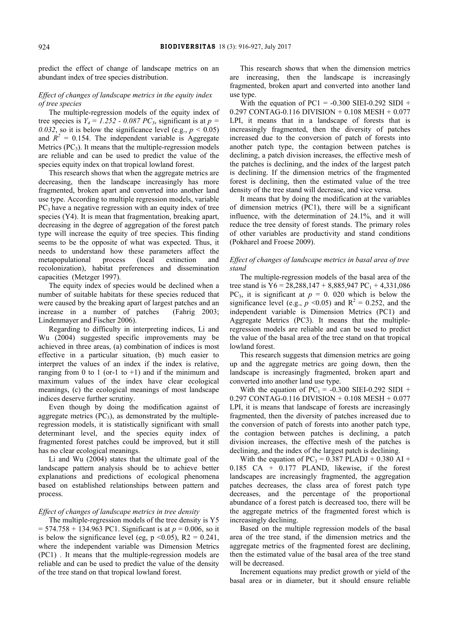predict the effect of change of landscape metrics on an abundant index of tree species distribution.

# *Effect of changes of landscape metrics in the equity index of tree species*

The multiple-regression models of the equity index of tree species is  $Y_4 = 1.252 - 0.087 PC_3$ , significant is at  $p =$ *0.032*, so it is below the significance level (e.g.,  $p < 0.05$ ) and  $R^2 = 0.154$ . The independent variable is Aggregate Metrics  $(PC_3)$ . It means that the multiple-regression models are reliable and can be used to predict the value of the species equity index on that tropical lowland forest.

This research shows that when the aggregate metrics are decreasing, then the landscape increasingly has more fragmented, broken apart and converted into another land use type. According to multiple regression models, variable  $PC<sub>3</sub>$  have a negative regression with an equity index of tree species (Y4). It is mean that fragmentation, breaking apart, decreasing in the degree of aggregation of the forest patch type will increase the equity of tree species. This finding seems to be the opposite of what was expected. Thus, it needs to understand how these parameters affect the metapopulational process (local extinction and recolonization), habitat preferences and dissemination capacities (Metzger 1997).

The equity index of species would be declined when a number of suitable habitats for these species reduced that were caused by the breaking apart of largest patches and an increase in a number of patches (Fahrig 2003; Lindenmayer and Fischer 2006).

Regarding to difficulty in interpreting indices, Li and Wu (2004) suggested specific improvements may be achieved in three areas, (a) combination of indices is most effective in a particular situation, (b) much easier to interpret the values of an index if the index is relative, ranging from 0 to 1 (or-1 to +1) and if the minimum and maximum values of the index have clear ecological meanings, (c) the ecological meanings of most landscape indices deserve further scrutiny.

Even though by doing the modification against of aggregate metrics  $(PC_3)$ , as demonstrated by the multipleregression models, it is statistically significant with small determinant level, and the species equity index of fragmented forest patches could be improved, but it still has no clear ecological meanings.

Li and Wu (2004) states that the ultimate goal of the landscape pattern analysis should be to achieve better explanations and predictions of ecological phenomena based on established relationships between pattern and process.

#### *Effect of changes of landscape metrics in tree density*

The multiple-regression models of the tree density is Y5 = 574.758 + 134.963 PC1. Significant is at *p* = 0.006, so it is below the significance level (eg,  $p \le 0.05$ ), R2 = 0.241, where the independent variable was Dimension Metrics (PC1) . It means that the multiple-regression models are reliable and can be used to predict the value of the density of the tree stand on that tropical lowland forest.

This research shows that when the dimension metrics are increasing, then the landscape is increasingly fragmented, broken apart and converted into another land use type.

With the equation of  $PC1 = -0.300$  SIEI-0.292 SIDI + 0.297 CONTAG-0.116 DIVISION + 0.108 MESH + 0.077 LPI, it means that in a landscape of forests that is increasingly fragmented, then the diversity of patches increased due to the conversion of patch of forests into another patch type, the contagion between patches is declining, a patch division increases, the effective mesh of the patches is declining, and the index of the largest patch is declining. If the dimension metrics of the fragmented forest is declining, then the estimated value of the tree density of the tree stand will decrease, and vice versa.

It means that by doing the modification at the variables of dimension metrics (PC1), there will be a significant influence, with the determination of 24.1%, and it will reduce the tree density of forest stands. The primary roles of other variables are productivity and stand conditions (Pokharel and Froese 2009).

# *Effect of changes of landscape metrics in basal area of tree stand*

The multiple-regression models of the basal area of the tree stand is  $Y6 = 28,288,147 + 8,885,947$  PC<sub>1</sub> + 4,331,086 PC<sub>3</sub>, it is significant at  $p = 0$ . 020 which is below the significance level (e.g.,  $p \le 0.05$ ) and  $R^2 = 0.252$ , and the independent variable is Dimension Metrics (PC1) and Aggregate Metrics (PC3). It means that the multipleregression models are reliable and can be used to predict the value of the basal area of the tree stand on that tropical lowland forest.

This research suggests that dimension metrics are going up and the aggregate metrics are going down, then the landscape is increasingly fragmented, broken apart and converted into another land use type.

With the equation of  $PC_1 = -0.300$  SIEI-0.292 SIDI + 0.297 CONTAG-0.116 DIVISION + 0.108 MESH + 0.077 LPI, it is means that landscape of forests are increasingly fragmented, then the diversity of patches increased due to the conversion of patch of forests into another patch type, the contagion between patches is declining, a patch division increases, the effective mesh of the patches is declining, and the index of the largest patch is declining.

With the equation of  $PC_3 = 0.387$  PLADJ + 0.380 AI + 0.185 CA + 0.177 PLAND, likewise, if the forest landscapes are increasingly fragmented, the aggregation patches decreases, the class area of forest patch type decreases, and the percentage of the proportional abundance of a forest patch is decreased too, there will be the aggregate metrics of the fragmented forest which is increasingly declining.

Based on the multiple regression models of the basal area of the tree stand, if the dimension metrics and the aggregate metrics of the fragmented forest are declining, then the estimated value of the basal area of the tree stand will be decreased.

Increment equations may predict growth or yield of the basal area or in diameter, but it should ensure reliable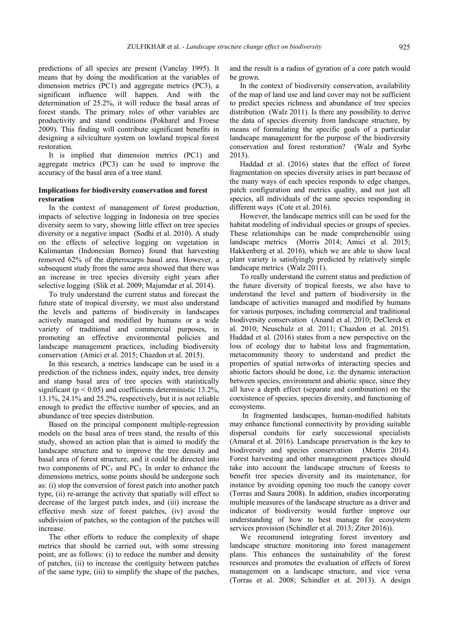predictions of all species are present (Vanclay 1995). It means that by doing the modification at the variables of dimension metrics (PC1) and aggregate metrics (PC3), a significant influence will happen. And with the determination of 25.2%, it will reduce the basal areas of forest stands. The primary roles of other variables are productivity and stand conditions (Pokharel and Froese 2009). This finding will contribute significant benefits in designing a silviculture system on lowland tropical forest restoration.

It is implied that dimension metrics (PC1) and aggregate metrics (PC3) can be used to improve the accuracy of the basal area of a tree stand.

# **Implications for biodiversity conservation and forest restoration**

In the context of management of forest production, impacts of selective logging in Indonesia on tree species diversity seem to vary, showing little effect on tree species diversity or a negative impact (Sodhi et al. 2010). A study on the effects of selective logging on vegetation in Kalimantan (Indonesian Borneo) found that harvesting removed 62% of the dipterocarps basal area. However, a subsequent study from the same area showed that there was an increase in tree species diversity eight years after selective logging (Slik et al. 2009; Majumdar et al. 2014).

To truly understand the current status and forecast the future state of tropical diversity, we must also understand the levels and patterns of biodiversity in landscapes actively managed and modified by humans or a wide variety of traditional and commercial purposes, in promoting an effective environmental policies and landscape management practices, including biodiversity conservation (Amici et al. 2015; Chazdon et al. 2015).

In this research, a metrics landscape can be used in a prediction of the richness index, equity index, tree density and stamp basal area of tree species with statistically significant ( $p < 0.05$ ) and coefficients deterministic 13.2%, 13.1%, 24.1% and 25.2%, respectively, but it is not reliable enough to predict the effective number of species, and an abundance of tree species distribution.

Based on the principal component multiple-regression models on the basal area of trees stand, the results of this study, showed an action plan that is aimed to modify the landscape structure and to improve the tree density and basal area of forest structure, and it could be directed into two components of  $PC_1$  and  $PC_3$ . In order to enhance the dimensions metrics, some points should be undergone such as: (i) stop the conversion of forest patch into another patch type, (ii) re-arrange the activity that spatially will effect to decrease of the largest patch index, and (iii) increase the effective mesh size of forest patches, (iv) avoid the subdivision of patches, so the contagion of the patches will increase.

The other efforts to reduce the complexity of shape metrics that should be carried out, with some stressing point, are as follows: (i) to reduce the number and density of patches, (ii) to increase the contiguity between patches of the same type, (iii) to simplify the shape of the patches, and the result is a radius of gyration of a core patch would be grown.

In the context of biodiversity conservation, availability of the map of land use and land cover may not be sufficient to predict species richness and abundance of tree species distribution (Walz 2011). Is there any possibility to derive the data of species diversity from landscape structure, by means of formulating the specific goals of a particular landscape management for the purpose of the biodiversity conservation and forest restoration? (Walz and Syrbe 2013).

Haddad et al. (2016) states that the effect of forest fragmentation on species diversity arises in part because of the many ways of each species responds to edge changes, patch configuration and metrics quality, and not just all species, all individuals of the same species responding in different ways (Cote et al. 2016).

However, the landscape metrics still can be used for the habitat modeling of individual species or groups of species. These relationships can be made comprehensible using landscape metrics (Morris 2014; Amici et al. 2015; Hakkenberg et al. 2016), which we are able to show local plant variety is satisfyingly predicted by relatively simple landscape metrics (Walz 2011).

To really understand the current status and prediction of the future diversity of tropical forests, we also have to understand the level and pattern of biodiversity in the landscape of activities managed and modified by humans for various purposes, including commercial and traditional biodiversity conservation (Anand et al. 2010; DeClerck et al. 2010; Neuschulz et al. 2011; Chazdon et al. 2015). Haddad et al. (2016) states from a new perspective on the loss of ecology due to habitat loss and fragmentation, metacommunity theory to understand and predict the properties of spatial networks of interacting species and abiotic factors should be done, i.e. the dynamic interaction between species, environment and abiotic space, since they all have a depth effect (separate and combination) on the coexistence of species, species diversity, and functioning of ecosystems.

 In fragmented landscapes, human-modified habitats may enhance functional connectivity by providing suitable dispersal conduits for early successional specialists (Amaral et al. 2016). Landscape preservation is the key to biodiversity and species conservation (Morris 2014). Forest harvesting and other management practices should take into account the landscape structure of forests to benefit tree species diversity and its maintenance, for instance by avoiding opening too much the canopy cover (Torras and Saura 2008). In addition, studies incorporating multiple measures of the landscape structure as a driver and indicator of biodiversity would further improve our understanding of how to best manage for ecosystem services provision (Schindler et al. 2013; Ziter 2016)).

We recommend integrating forest inventory and landscape structure monitoring into forest management plans. This enhances the sustainability of the forest resources and promotes the evaluation of effects of forest management on a landscape structure, and vice versa (Torras et al. 2008; Schindler et al. 2013). A design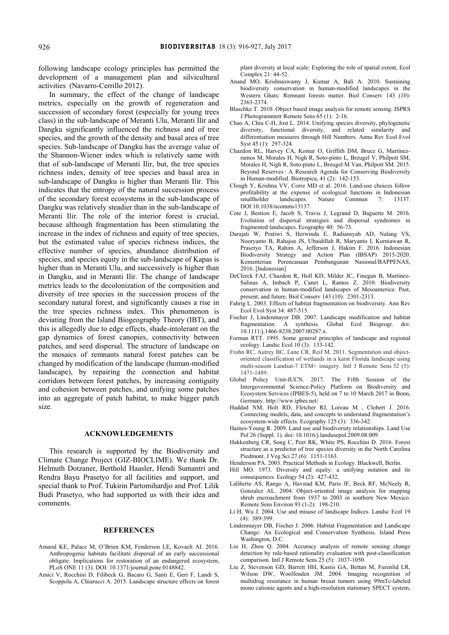following landscape ecology principles has permitted the development of a management plan and silvicultural activities (Navarro-Cerrillo 2012).

In summary, the effect of the change of landscape metrics, especially on the growth of regeneration and succession of secondary forest (especially for young trees class) in the sub-landscape of Meranti Ulu, Meranti Ilir and Dangku significantly influenced the richness and of tree species, and the growth of the density and basal area of tree species. Sub-landscape of Dangku has the average value of the Shannon-Wiener index which is relatively same with that of sub-landscape of Meranti Ilir, but, the tree species richness index, density of tree species and basal area in sub-landscape of Dangku is higher than Meranti Ilir. This indicates that the entropy of the natural succession process of the secondary forest ecosystems in the sub-landscape of Dangku was relatively steadier than in the sub-landscape of Meranti Ilir. The role of the interior forest is crucial, because although fragmentation has been stimulating the increase in the index of richness and equity of tree species, but the estimated value of species richness indices, the effective number of species, abundance distribution of species, and species equity in the sub-landscape of Kapas is higher than in Meranti Ulu, and successively is higher than in Dangku, and in Meranti Ilir. The change of landscape metrics leads to the decolonization of the composition and diversity of tree species in the succession process of the secondary natural forest, and significantly causes a rise in the tree species richness index. This phenomenon is deviating from the Island Biogeography Theory (IBT), and this is allegedly due to edge effects, shade-intolerant on the gap dynamics of forest canopies, connectivity between patches, and seed dispersal. The structure of landscape on the mosaics of remnants natural forest patches can be changed by modification of the landscape (human-modified landscape), by repairing the connection and habitat corridors between forest patches, by increasing contiguity and cohesion between patches, and unifying some patches into an aggregate of patch habitat, to make bigger patch size.

## **ACKNOWLEDGEMENTS**

This research is supported by the Biodiversity and Climate Change Project (GIZ-BIOCLIME). We thank Dr. Helmuth Dotzaner, Berthold Haasler, Hendi Sumantri and Rendra Bayu Prasetyo for all facilities and support, and special thank to Prof. Tukirin Partomihardjo and Prof. Lilik Budi Prasetyo, who had supported us with their idea and comments.

#### **REFERENCES**

- Amaral KE, Palace M, O'Brien KM, Fenderson LE, Kovach AI. 2016. Anthropogenic habitats facilitate dispersal of an early successional obligate: Implications for restoration of an endangered ecosystem, PLoS ONE 11 (3). DOI: 10.1371/journal.pone.0148842.
- Amici V, Rocchini D, Filibeck G, Bacaro G, Santi E, Geri F, Landi S, Scoppola A, Chiarucci A. 2015. Landscape structure effects on forest

plant diversity at local scale: Exploring the role of spatial extent, Ecol Complex 21: 44-52.

- Anand MO, Krishnaswamy J, Kumar A, Bali A. 2010. Sustaining biodiversity conservation in human-modified landscapes in the Western Ghats: Remnant forests matter. Biol Conserv 143 (10): 2363-2374.
- Blaschke T. 2010. Object based image analysis for remote sensing. ISPRS J Photogrammetr Remote Sens 65 (1): 2-16.
- Chao A, Chiu C-H, Jost L. 2014. Unifying species diversity, phylogenetic diversity, functional diversity, and related similarity and differentiation measures through Hill Numbers. Annu Rev Ecol Evol Syst 45 (1): 297-324.
- Chazdon RL, Harvey CA, Komar O, Griffith DM, Bruce G, Martínezramos M, Morales H, Nigh R, Soto-pinto L, Breugel V, Philpott SM, Morales H, Nigh R, Soto-pinto L, Breugel M Van, Philpott SM. 2015. Beyond Reserves : A Research Agenda for Conserving Biodiversity in Human-modified. Biotropica, 41 (2): 142-153.
- Clough Y, Krishna VV, Corre MD et al. 2016. Land-use choices follow profitability at the expense of ecological functions in Indonesian smallholder landscapes. Nature Commun 7: 13137. smallholder landscapes. Nature Commun 7: 13137 DOI:10.1038/ncomms13137.
- Cote J, Bestion E, Jacob S, Travis J, Legrand D, Baguette M. 2016. Evolution of dispersal strategies and dispersal syndromes in fragmented landscapes. Ecography 40: 56-73.
- Darajati W, Pratiwi S, Herwinda E, Radiansyah AD, Nalang VS, Nooryanto B, Rahajoe JS, Ubaidillah R, Maryanto I, Kurniawan R, Prasetyo TA, Rahim A, Jefferson J, Hakim F. 2016. Indonesian Biodiversity Strategy and Action Plan (IBSAP) 2015-2020. Kementerian Perencanaan Pembangunan Nasional/BAPPENAS, 2016. [Indonesian]
- DeClerck FAJ, Chazdon R, Holl KD, Milder JC, Finegan B, Martinez-Salinas A, Imbach P, Canet L, Ramos Z. 2010. Biodiversity conservation in human-modified landscapes of Mesoamerica: Past, present, and future. Biol Conserv 143 (10): 2301-2313.
- Fahrig L. 2003. Effects of habitat fragmentation on biodiversity. Ann Rev Ecol Evol Syst 34: 487-515.
- Fischer J, Lindenmayer DB. 2007. Landscape modification and habitat fragmentation: A synthesis. Global Ecol Biogeogr. doi: 10.1111/j.1466-8238.2007.00287.x.
- Forman RTT. 1995. Some general principles of landscape and regional ecology. Landsc Ecol 10 (3): 133-142.
- Frohn RC, Autrey BC, Lane CR, Reif M. 2011. Segmentation and objectoriented classification of wetlands in a karst Florida landscape using multi-season Landsat-7 ETM+ imagery. Intl J Remote Sens 32 (5): 1471-1489.
- Global Policy Unit-IUCN. 2017. The Fifth Session of the Intergovernmental Science-Policy Platform on Biodiversity and Ecosystem Services (IPBES-5), held on 7 to 10 March 2017 in Bonn, Germany. http://www.ipbes.net/
- Haddad NM, Holt RD, Fletcher RJ, Loreau M , Clobert J. 2016. Connecting models, data, and concepts to understand fragmentation's ecosystem-wide effects. Ecography 125 (3): 336-342.
- Haines-Young R. 2009. Land use and biodiversity relationships. Land Use Pol 26 (Suppl. 1). doi: 10.1016/j.landusepol.2009.08.009.
- Hakkenberg CR, Song C, Peet RK, White PS, Rocchini D. 2016. Forest structure as a predictor of tree species diversity in the North Carolina Piedmont. J Veg Sci 27 (6): 1151-1163.
- Henderson PA. 2003. Practical Methods in Ecology. Blackwell, Berlin.
- Hill MO. 1973. Diversity and equity: a unifying notation and its consequences. Ecology 54 (2): 427-432.
- Laliberte AS, Rango A, Havstad KM, Paris JF, Beck RF, McNeely R, Gonzalez AL. 2004. Object-oriented image analysis for mapping shrub encroachment from 1937 to 2003 in southern New Mexico. Remote Sens Environ 93 (1-2): 198-210.
- Li H, Wu J. 2004. Use and misuse of landscape Indices. Landsc Ecol 19 (4): 389-399.
- Lindenmayer DB, Fischer J. 2006. Habitat Fragmentation and Landscape Change: An Ecological and Conservation Synthesis. Island Press Washington, D.C.
- Liu H, Zhou Q. 2004. Accuracy analysis of remote sensing change detection by rule-based rationality evaluation with post-classification comparison. Intl J Remote Sens 25 (5): 1037-1050.
- Liu Z, Stevenson GD, Barrett HH, Kastis GA, Bettan M, Furenlid LR, Wilson DW, Woolfenden JM. 2004. Imaging recognition of multidrug resistance in human breast tumors using 99mTc-labeled mono cationic agents and a high-resolution stationary SPECT system,